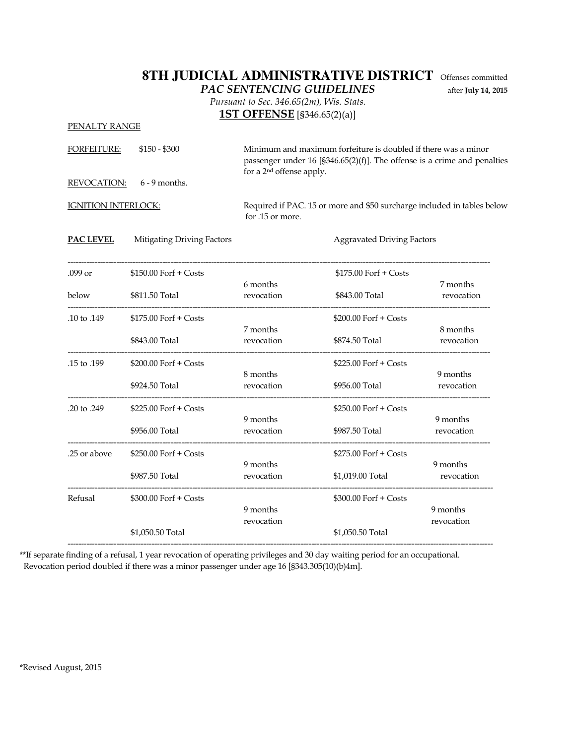## **8TH JUDICIAL ADMINISTRATIVE DISTRICT** Offenses committed

PAC SENTENCING GUIDELINES after July 14, 2015

 Pursuant to Sec. 346.65(2m), Wis. Stats. **1ST OFFENSE** [§346.65(2)(a)]

| PENALTY RANGE              |                            |                                      |                                                                                                                                              |                        |
|----------------------------|----------------------------|--------------------------------------|----------------------------------------------------------------------------------------------------------------------------------------------|------------------------|
| FORFEITURE:                | $$150 - $300$              | for a 2 <sup>nd</sup> offense apply. | Minimum and maximum forfeiture is doubled if there was a minor<br>passenger under $16$ [§346.65(2)(f)]. The offense is a crime and penalties |                        |
| <b>REVOCATION:</b>         | $6 - 9$ months.            |                                      |                                                                                                                                              |                        |
| <b>IGNITION INTERLOCK:</b> |                            | for .15 or more.                     | Required if PAC. 15 or more and \$50 surcharge included in tables below                                                                      |                        |
| PAC LEVEL                  | Mitigating Driving Factors |                                      | <b>Aggravated Driving Factors</b>                                                                                                            |                        |
| .099 or                    | $$150.00$ Forf + Costs     |                                      | $$175.00$ Forf + Costs                                                                                                                       |                        |
| below                      | \$811.50 Total             | 6 months<br>revocation               | \$843.00 Total                                                                                                                               | 7 months<br>revocation |
| .10 to .149                | \$175.00 Forf + Costs      | 7 months                             | \$200.00 Forf + Costs                                                                                                                        | 8 months               |
|                            | \$843.00 Total             | revocation                           | \$874.50 Total                                                                                                                               | revocation             |
| .15 to .199                | \$200.00 Forf + Costs      | 8 months                             | \$225.00 Forf + Costs                                                                                                                        | 9 months               |
|                            | \$924.50 Total             | revocation                           | \$956.00 Total                                                                                                                               | revocation             |
| .20 to .249                | $$225.00$ Forf + Costs     | 9 months                             | $$250.00$ Forf + Costs                                                                                                                       | 9 months               |
|                            | \$956.00 Total             | revocation                           | \$987.50 Total                                                                                                                               | revocation             |
| .25 or above               | \$250.00 Forf + Costs      |                                      | \$275.00 Forf + Costs                                                                                                                        |                        |
|                            | \$987.50 Total             | 9 months<br>revocation               | \$1,019.00 Total                                                                                                                             | 9 months<br>revocation |
| Refusal                    | $$300.00$ Forf + Costs     |                                      | $$300.00$ Forf + Costs                                                                                                                       |                        |
|                            | \$1,050.50 Total           | 9 months<br>revocation               | \$1,050.50 Total                                                                                                                             | 9 months<br>revocation |
|                            |                            |                                      |                                                                                                                                              |                        |

\*\*If separate finding of a refusal, 1 year revocation of operating privileges and 30 day waiting period for an occupational. Revocation period doubled if there was a minor passenger under age 16 [§343.305(10)(b)4m].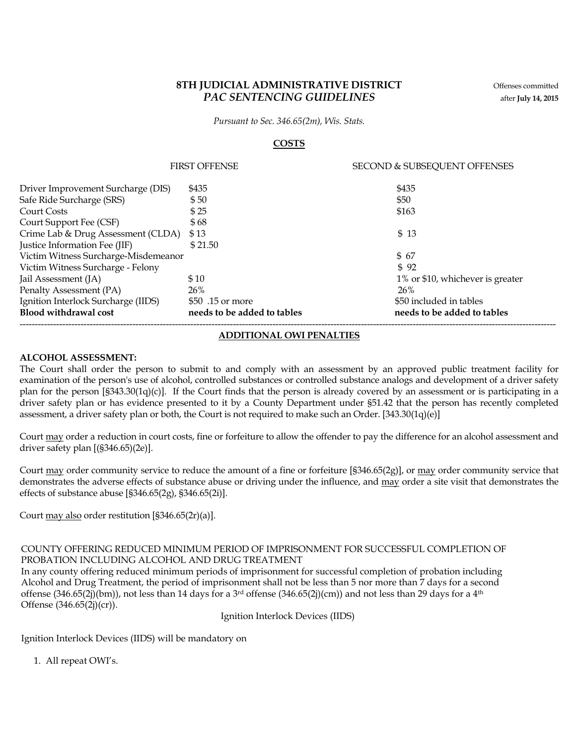### 8TH JUDICIAL ADMINISTRATIVE DISTRICT Offenses committed PAC SENTENCING GUIDELINES after July 14, 2015

Pursuant to Sec. 346.65(2m), Wis. Stats.

#### **COSTS**

|                                      | <b>FIRST OFFENSE</b>        | SECOND & SUBSEQUENT OFFENSES     |
|--------------------------------------|-----------------------------|----------------------------------|
| Driver Improvement Surcharge (DIS)   | \$435                       | \$435                            |
| Safe Ride Surcharge (SRS)            | \$50                        | \$50                             |
| <b>Court Costs</b>                   | \$25                        | \$163                            |
| Court Support Fee (CSF)              | \$68                        |                                  |
| Crime Lab & Drug Assessment (CLDA)   | \$13                        | \$13                             |
| Justice Information Fee (JIF)        | \$21.50                     |                                  |
| Victim Witness Surcharge-Misdemeanor |                             | \$67                             |
| Victim Witness Surcharge - Felony    |                             | \$92                             |
| Jail Assessment (JA)                 | \$10                        | 1% or \$10, whichever is greater |
| Penalty Assessment (PA)              | 26%                         | 26%                              |
| Ignition Interlock Surcharge (IIDS)  | \$50 .15 or more            | \$50 included in tables          |
| <b>Blood withdrawal cost</b>         | needs to be added to tables | needs to be added to tables      |
|                                      |                             |                                  |

#### ADDITIONAL OWI PENALTIES

#### ALCOHOL ASSESSMENT:

The Court shall order the person to submit to and comply with an assessment by an approved public treatment facility for examination of the person's use of alcohol, controlled substances or controlled substance analogs and development of a driver safety plan for the person [§343.30(1q)(c)]. If the Court finds that the person is already covered by an assessment or is participating in a driver safety plan or has evidence presented to it by a County Department under §51.42 that the person has recently completed assessment, a driver safety plan or both, the Court is not required to make such an Order. [343.30(1q)(e)]

Court may order a reduction in court costs, fine or forfeiture to allow the offender to pay the difference for an alcohol assessment and driver safety plan [(§346.65)(2e)].

Court may order community service to reduce the amount of a fine or forfeiture [§346.65(2g)], or may order community service that demonstrates the adverse effects of substance abuse or driving under the influence, and may order a site visit that demonstrates the effects of substance abuse [§346.65(2g), §346.65(2i)].

Court may also order restitution [§346.65(2r)(a)].

#### COUNTY OFFERING REDUCED MINIMUM PERIOD OF IMPRISONMENT FOR SUCCESSFUL COMPLETION OF PROBATION INCLUDING ALCOHOL AND DRUG TREATMENT

In any county offering reduced minimum periods of imprisonment for successful completion of probation including Alcohol and Drug Treatment, the period of imprisonment shall not be less than 5 nor more than 7 days for a second offense  $(346.65(2j)(bm))$ , not less than 14 days for a 3<sup>rd</sup> offense  $(346.65(2j)(cm))$  and not less than 29 days for a 4<sup>th</sup> Offense (346.65(2j)(cr)).

Ignition Interlock Devices (IIDS)

Ignition Interlock Devices (IIDS) will be mandatory on

1. All repeat OWI's.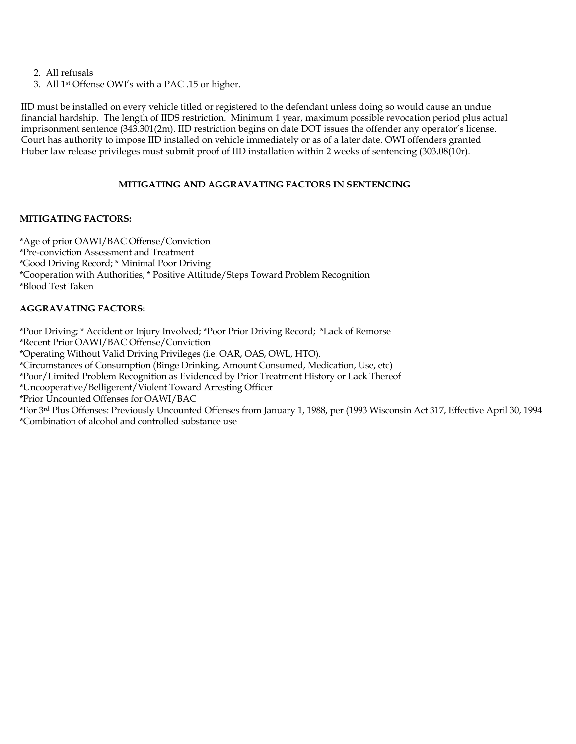2. All refusals

3. All 1st Offense OWI's with a PAC .15 or higher.

IID must be installed on every vehicle titled or registered to the defendant unless doing so would cause an undue financial hardship. The length of IIDS restriction. Minimum 1 year, maximum possible revocation period plus actual imprisonment sentence (343.301(2m). IID restriction begins on date DOT issues the offender any operator's license. Court has authority to impose IID installed on vehicle immediately or as of a later date. OWI offenders granted Huber law release privileges must submit proof of IID installation within 2 weeks of sentencing (303.08(10r).

#### MITIGATING AND AGGRAVATING FACTORS IN SENTENCING

#### MITIGATING FACTORS:

\*Age of prior OAWI/BAC Offense/Conviction \*Pre-conviction Assessment and Treatment \*Good Driving Record; \* Minimal Poor Driving \*Cooperation with Authorities; \* Positive Attitude/Steps Toward Problem Recognition \*Blood Test Taken

#### AGGRAVATING FACTORS:

\*Poor Driving; \* Accident or Injury Involved; \*Poor Prior Driving Record; \*Lack of Remorse

\*Recent Prior OAWI/BAC Offense/Conviction

\*Operating Without Valid Driving Privileges (i.e. OAR, OAS, OWL, HTO).

\*Circumstances of Consumption (Binge Drinking, Amount Consumed, Medication, Use, etc)

\*Poor/Limited Problem Recognition as Evidenced by Prior Treatment History or Lack Thereof

\*Uncooperative/Belligerent/Violent Toward Arresting Officer

\*Prior Uncounted Offenses for OAWI/BAC

\*For 3rd Plus Offenses: Previously Uncounted Offenses from January 1, 1988, per (1993 Wisconsin Act 317, Effective April 30, 1994 \*Combination of alcohol and controlled substance use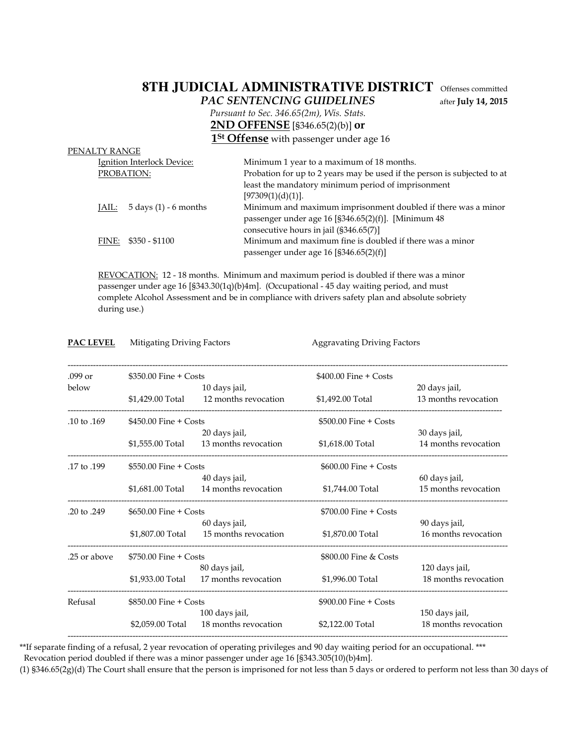## **8TH JUDICIAL ADMINISTRATIVE DISTRICT** Offenses committed

PAC SENTENCING GUIDELINES after July 14, 2015

 Pursuant to Sec. 346.65(2m), Wis. Stats. 2ND OFFENSE [§346.65(2)(b)] or

1<sup>St</sup> Offense with passenger under age 16

| PENALTY RANGE                                 |                                                                          |
|-----------------------------------------------|--------------------------------------------------------------------------|
| Ignition Interlock Device:                    | Minimum 1 year to a maximum of 18 months.                                |
| PROBATION:                                    | Probation for up to 2 years may be used if the person is subjected to at |
|                                               | least the mandatory minimum period of imprisonment                       |
|                                               | [97309(1)(d)(1)].                                                        |
| JAIL: $5 \text{ days} (1) - 6 \text{ months}$ | Minimum and maximum imprisonment doubled if there was a minor            |
|                                               | passenger under age 16 [§346.65(2)(f)]. [Minimum 48                      |
|                                               | consecutive hours in jail (§346.65(7)]                                   |
| FINE: $$350 - $1100$                          | Minimum and maximum fine is doubled if there was a minor                 |
|                                               | passenger under age 16 [§346.65(2)(f)]                                   |
|                                               |                                                                          |

 REVOCATION: 12 - 18 months. Minimum and maximum period is doubled if there was a minor passenger under age 16 [§343.30(1q)(b)4m]. (Occupational - 45 day waiting period, and must complete Alcohol Assessment and be in compliance with drivers safety plan and absolute sobriety during use.)

| <b>PAC LEVEL</b>       | Mitigating Driving Factors |                      | <b>Aggravating Driving Factors</b> |                      |
|------------------------|----------------------------|----------------------|------------------------------------|----------------------|
| $.099$ or              | $$350.00$ Fine + Costs     |                      | $$400.00$ Fine + Costs             |                      |
| below                  |                            | 10 days jail,        |                                    | 20 days jail,        |
|                        | \$1,429.00 Total           | 12 months revocation | \$1,492.00 Total                   | 13 months revocation |
| .10 to .169            | $$450.00$ Fine + Costs     |                      | $$500.00$ Fine + Costs             |                      |
|                        |                            | 20 days jail,        |                                    | 30 days jail,        |
|                        | \$1,555.00 Total           | 13 months revocation | \$1,618.00 Total                   | 14 months revocation |
| .17 to .199            | $$550.00$ Fine + Costs     |                      | $$600.00$ Fine $+$ Costs           |                      |
|                        |                            | 40 days jail,        |                                    | 60 days jail,        |
|                        | \$1,681.00 Total           | 14 months revocation | \$1,744.00 Total                   | 15 months revocation |
| $.20 \text{ to } .249$ | $$650.00$ Fine $+$ Costs   |                      | $$700.00$ Fine + Costs             |                      |
|                        |                            | 60 days jail,        |                                    | 90 days jail,        |
|                        | \$1.807.00 Total           | 15 months revocation | \$1,870.00 Total                   | 16 months revocation |
| .25 or above           | $$750.00$ Fine + Costs     |                      | \$800.00 Fine & Costs              |                      |
|                        |                            | 80 days jail,        |                                    | 120 days jail,       |
|                        | \$1,933.00 Total           | 17 months revocation | \$1,996.00 Total                   | 18 months revocation |
| Refusal                | $$850.00$ Fine $+$ Costs   |                      | $$900.00$ Fine + Costs             |                      |
|                        |                            | 100 days jail,       |                                    | 150 days jail,       |
|                        | \$2,059.00 Total           | 18 months revocation | \$2,122.00 Total                   | 18 months revocation |
|                        |                            |                      |                                    |                      |

\*\*If separate finding of a refusal, 2 year revocation of operating privileges and 90 day waiting period for an occupational. \*\*\* Revocation period doubled if there was a minor passenger under age 16 [§343.305(10)(b)4m].

(1) §346.65(2g)(d) The Court shall ensure that the person is imprisoned for not less than 5 days or ordered to perform not less than 30 days of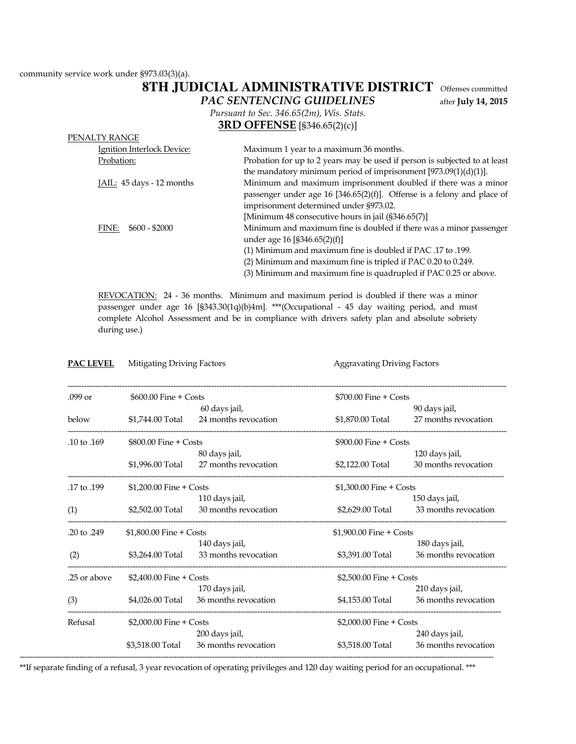community service work under §973.03(3)(a).

## **8TH JUDICIAL ADMINISTRATIVE DISTRICT** Offenses committed

PAC SENTENCING GUIDELINES after July 14, 2015

 Pursuant to Sec. 346.65(2m), Wis. Stats. 3RD OFFENSE [§346.65(2)(c)]

| Maximum 1 year to a maximum 36 months.                                     |  |
|----------------------------------------------------------------------------|--|
| Probation for up to 2 years may be used if person is subjected to at least |  |
| the mandatory minimum period of imprisonment $[973.09(1)(d)(1)].$          |  |
| Minimum and maximum imprisonment doubled if there was a minor              |  |
| passenger under age 16 [346.65(2)(f)]. Offense is a felony and place of    |  |
| imprisonment determined under §973.02.                                     |  |
| [Minimum 48 consecutive hours in jail (§346.65(7)]                         |  |
| Minimum and maximum fine is doubled if there was a minor passenger         |  |
| under age 16 [§346.65(2)(f)]                                               |  |
| (1) Minimum and maximum fine is doubled if PAC .17 to .199.                |  |
| (2) Minimum and maximum fine is tripled if PAC 0.20 to 0.249.              |  |
| (3) Minimum and maximum fine is quadrupled if PAC 0.25 or above.           |  |
|                                                                            |  |

 REVOCATION: 24 - 36 months. Minimum and maximum period is doubled if there was a minor passenger under age 16 [§343.30(1q)(b)4m]. \*\*\*(Occupational - 45 day waiting period, and must complete Alcohol Assessment and be in compliance with drivers safety plan and absolute sobriety during use.)

| <b>PAC LEVEL</b> | Mitigating Driving Factors |                      | <b>Aggravating Driving Factors</b> |                      |
|------------------|----------------------------|----------------------|------------------------------------|----------------------|
| $.099$ or        | \$600.00 Fine + Costs      |                      | $$700.00$ Fine + Costs             |                      |
|                  |                            | 60 days jail,        |                                    | 90 days jail,        |
| below            | \$1,744.00 Total           | 24 months revocation | \$1,870.00 Total                   | 27 months revocation |
| .10 to .169      | $$800.00$ Fine + Costs     |                      | $$900.00$ Fine + Costs             |                      |
|                  |                            | 80 days jail,        |                                    | 120 days jail,       |
|                  | \$1,996.00 Total           | 27 months revocation | \$2,122.00 Total                   | 30 months revocation |
| .17 to .199      | $$1,200.00$ Fine + Costs   |                      | \$1,300.00 Fine + Costs            |                      |
|                  |                            | 110 days jail,       |                                    | 150 days jail,       |
| (1)              | \$2,502.00 Total           | 30 months revocation | \$2,629.00 Total                   | 33 months revocation |
| .20 to .249      | \$1,800.00 Fine + Costs    |                      | $$1,900.00$ Fine + Costs           |                      |
|                  |                            | 140 days jail,       |                                    | 180 days jail,       |
| (2)              | \$3,264.00 Total           | 33 months revocation | \$3,391.00 Total                   | 36 months revocation |
| .25 or above     | \$2,400.00 Fine + Costs    |                      | \$2,500.00 Fine + Costs            |                      |
|                  |                            | 170 days jail,       |                                    | 210 days jail,       |
| (3)              | \$4,026.00 Total           | 36 months revocation | \$4,153.00 Total                   | 36 months revocation |
| Refusal          | \$2,000.00 Fine + Costs    |                      | \$2,000.00 Fine + Costs            |                      |
|                  |                            | 200 days jail,       |                                    | 240 days jail,       |
|                  | \$3,518.00 Total           | 36 months revocation | \$3,518.00 Total                   | 36 months revocation |

\*\*If separate finding of a refusal, 3 year revocation of operating privileges and 120 day waiting period for an occupational. \*\*\*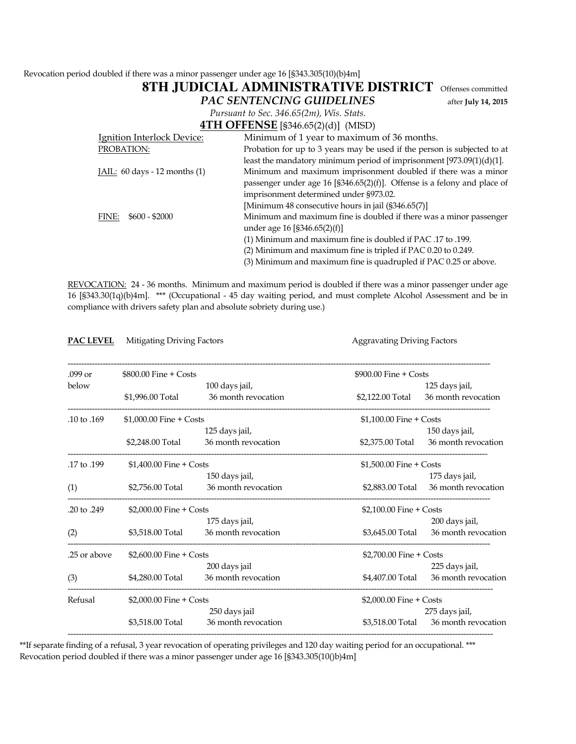Revocation period doubled if there was a minor passenger under age 16 [§343.305(10)(b)4m]

|                                                                                                                  | 8TH JUDICIAL ADMINISTRATIVE DISTRICT<br>Offenses committed               |  |  |
|------------------------------------------------------------------------------------------------------------------|--------------------------------------------------------------------------|--|--|
|                                                                                                                  | <b>PAC SENTENCING GUIDELINES</b><br>after July 14, 2015                  |  |  |
|                                                                                                                  | Pursuant to Sec. 346.65(2m), Wis. Stats.                                 |  |  |
|                                                                                                                  | <b>4TH OFFENSE</b> [§346.65(2)(d)] (MISD)                                |  |  |
| Ignition Interlock Device:                                                                                       | Minimum of 1 year to maximum of 36 months.                               |  |  |
| PROBATION:                                                                                                       | Probation for up to 3 years may be used if the person is subjected to at |  |  |
|                                                                                                                  | least the mandatory minimum period of imprisonment [973.09(1)(d)(1].     |  |  |
| Minimum and maximum imprisonment doubled if there was a minor<br>JAIL: $60 \text{ days} - 12 \text{ months}$ (1) |                                                                          |  |  |
|                                                                                                                  | passenger under age 16 [§346.65(2)(f)]. Offense is a felony and place of |  |  |
|                                                                                                                  | imprisonment determined under §973.02.                                   |  |  |
|                                                                                                                  | [Minimum 48 consecutive hours in jail (§346.65(7)]                       |  |  |
| $$600 - $2000$<br>FINE:                                                                                          | Minimum and maximum fine is doubled if there was a minor passenger       |  |  |
| under age 16 [§346.65(2)(f)]                                                                                     |                                                                          |  |  |
| (1) Minimum and maximum fine is doubled if PAC .17 to .199.                                                      |                                                                          |  |  |
|                                                                                                                  | (2) Minimum and maximum fine is tripled if PAC 0.20 to 0.249.            |  |  |
|                                                                                                                  | (3) Minimum and maximum fine is quadrupled if PAC 0.25 or above.         |  |  |

REVOCATION: 24 - 36 months. Minimum and maximum period is doubled if there was a minor passenger under age 16 [§343.30(1q)(b)4m]. \*\*\* (Occupational - 45 day waiting period, and must complete Alcohol Assessment and be in compliance with drivers safety plan and absolute sobriety during use.)

| <b>PAC LEVEL</b> |                          | Mitigating Driving Factors<br><b>Aggravating Driving Factors</b> |                          |                                       |
|------------------|--------------------------|------------------------------------------------------------------|--------------------------|---------------------------------------|
| .099 or          | $$800.00$ Fine + Costs   |                                                                  | $$900.00$ Fine + Costs   |                                       |
| below            | \$1,996.00 Total         | 100 days jail,<br>36 month revocation                            | \$2,122.00 Total         | 125 days jail,<br>36 month revocation |
| .10 to .169      | $$1,000.00$ Fine + Costs |                                                                  | $$1,100.00$ Fine + Costs |                                       |
|                  | \$2,248.00 Total         | 125 days jail,<br>36 month revocation                            | \$2,375.00 Total         | 150 days jail,<br>36 month revocation |
| .17 to .199      | $$1,400.00$ Fine + Costs |                                                                  | $$1,500.00$ Fine + Costs |                                       |
| (1)              | \$2,756.00 Total         | 150 days jail,<br>36 month revocation                            | \$2,883.00 Total         | 175 days jail,<br>36 month revocation |
| .20 to .249      | \$2,000.00 Fine + Costs  |                                                                  | \$2,100.00 Fine + Costs  |                                       |
| (2)              | \$3,518.00 Total         | 175 days jail,<br>36 month revocation                            | \$3,645.00 Total         | 200 days jail,<br>36 month revocation |
| .25 or above     | $$2,600.00$ Fine + Costs |                                                                  | \$2,700.00 Fine + Costs  |                                       |
| (3)              | \$4,280.00 Total         | 200 days jail<br>36 month revocation                             | \$4,407.00 Total         | 225 days jail,<br>36 month revocation |
| Refusal          | \$2,000.00 Fine + Costs  |                                                                  | \$2,000.00 Fine + Costs  |                                       |
|                  | \$3,518.00 Total         | 250 days jail<br>36 month revocation                             | \$3,518.00 Total         | 275 days jail,<br>36 month revocation |
|                  |                          |                                                                  |                          |                                       |

\*\*If separate finding of a refusal, 3 year revocation of operating privileges and 120 day waiting period for an occupational. \*\*\* Revocation period doubled if there was a minor passenger under age 16 [§343.305(10()b)4m]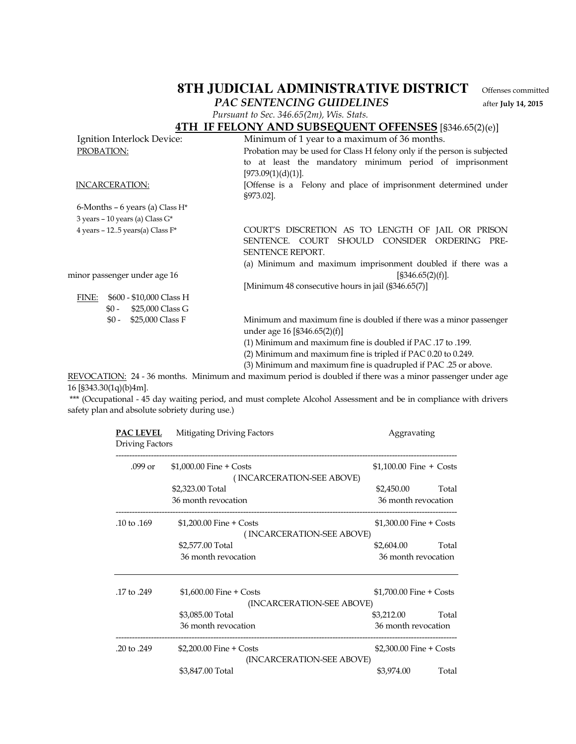## 8TH JUDICIAL ADMINISTRATIVE DISTRICT Offenses committed PAC SENTENCING GUIDELINES after July 14, 2015

Pursuant to Sec. 346.65(2m), Wis. Stats.

## 4TH IF FELONY AND SUBSEQUENT OFFENSES [§346.65(2)(e)]

| Ignition Interlock Device:                                                             | Minimum of 1 year to a maximum of 36 months.                       |  |  |
|----------------------------------------------------------------------------------------|--------------------------------------------------------------------|--|--|
| Probation may be used for Class H felony only if the person is subjected<br>PROBATION: |                                                                    |  |  |
|                                                                                        | to at least the mandatory minimum period of imprisonment           |  |  |
|                                                                                        | [973.09(1)(d)(1)].                                                 |  |  |
| <b>INCARCERATION:</b>                                                                  | [Offense is a Felony and place of imprisonment determined under    |  |  |
|                                                                                        | §973.02].                                                          |  |  |
| 6-Months – 6 years (a) Class $H^*$                                                     |                                                                    |  |  |
| 3 years - 10 years (a) Class G*                                                        |                                                                    |  |  |
| 4 years - 125 years(a) Class $F^*$                                                     | COURT'S DISCRETION AS TO LENGTH OF JAIL OR PRISON                  |  |  |
|                                                                                        | SENTENCE. COURT<br>SHOULD CONSIDER<br>ORDERING<br>PRE-             |  |  |
|                                                                                        | <b>SENTENCE REPORT.</b>                                            |  |  |
|                                                                                        | (a) Minimum and maximum imprisonment doubled if there was a        |  |  |
| minor passenger under age 16                                                           | [§346.65(2)(f)].                                                   |  |  |
|                                                                                        | [Minimum 48 consecutive hours in jail (§346.65(7)]                 |  |  |
| FINE:<br>\$600 - \$10,000 Class H                                                      |                                                                    |  |  |
| \$25,000 Class G<br>$$0 -$                                                             |                                                                    |  |  |
| \$25,000 Class F<br>$$0 -$                                                             | Minimum and maximum fine is doubled if there was a minor passenger |  |  |
|                                                                                        | under age $16$ [§346.65(2)(f)]                                     |  |  |
|                                                                                        | (1) Minimum and maximum fine is doubled if PAC .17 to .199.        |  |  |
|                                                                                        | (2) Minimum and maximum fine is tripled if PAC 0.20 to 0.249.      |  |  |
|                                                                                        | (3) Minimum and maximum fine is quadrupled if PAC .25 or above.    |  |  |
|                                                                                        |                                                                    |  |  |

REVOCATION: 24 - 36 months. Minimum and maximum period is doubled if there was a minor passenger under age 16 [§343.30(1q)(b)4m].

 \*\*\* (Occupational - 45 day waiting period, and must complete Alcohol Assessment and be in compliance with drivers safety plan and absolute sobriety during use.)

| <b>PAC LEVEL</b>       | Mitigating Driving Factors | Aggravating              |       |
|------------------------|----------------------------|--------------------------|-------|
| <b>Driving Factors</b> |                            |                          |       |
| .099 or                | $$1,000.00$ Fine + Costs   | $$1,100.00$ Fine + Costs |       |
|                        | (INCARCERATION-SEE ABOVE)  |                          |       |
|                        | \$2,323.00 Total           | \$2,450.00               | Total |
|                        | 36 month revocation        | 36 month revocation      |       |
| .10 to $.169$          | $$1,200.00$ Fine + Costs   | $$1,300.00$ Fine + Costs |       |
|                        | (INCARCERATION-SEE ABOVE)  |                          |       |
|                        | \$2,577.00 Total           | \$2,604.00               | Total |
|                        | 36 month revocation        | 36 month revocation      |       |
| .17 to .249            | $$1,600.00$ Fine + Costs   | $$1,700.00$ Fine + Costs |       |
|                        | (INCARCERATION-SEE ABOVE)  |                          |       |
|                        | \$3,085.00 Total           | \$3,212.00               | Total |
|                        | 36 month revocation        | 36 month revocation      |       |
| .20 to .249            | $$2,200.00$ Fine + Costs   | $$2,300.00$ Fine + Costs |       |
|                        | (INCARCERATION-SEE ABOVE)  |                          |       |
|                        | \$3,847.00 Total           | \$3,974.00               | Total |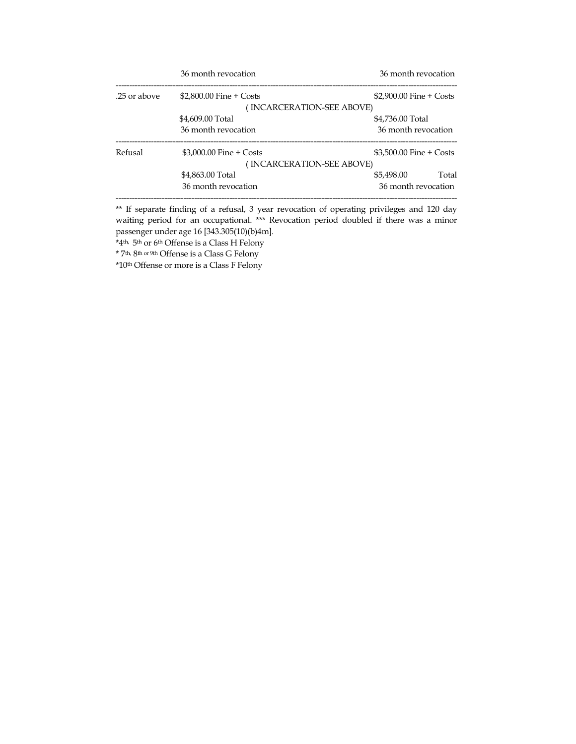|              | 36 month revocation       | 36 month revocation        |
|--------------|---------------------------|----------------------------|
| .25 or above | $$2,800.00$ Fine + Costs  | $$2.900.00$ Fine $+$ Costs |
|              | (INCARCERATION-SEE ABOVE) |                            |
|              | \$4,609.00 Total          | \$4,736.00 Total           |
|              | 36 month revocation       | 36 month revocation        |
| Refusal      | $$3,000.00$ Fine + Costs  | $$3.500.00$ Fine $+$ Costs |
|              | (INCARCERATION-SEE ABOVE) |                            |
|              | \$4,863.00 Total          | Total<br>\$5,498,00        |
|              | 36 month revocation       | 36 month revocation        |
|              |                           |                            |

\*\* If separate finding of a refusal, 3 year revocation of operating privileges and 120 day waiting period for an occupational. \*\*\* Revocation period doubled if there was a minor passenger under age 16 [343.305(10)(b)4m].

\*4th, 5th or 6th Offense is a Class H Felony

\* 7th, 8th or 9th Offense is a Class G Felony

\*10th Offense or more is a Class F Felony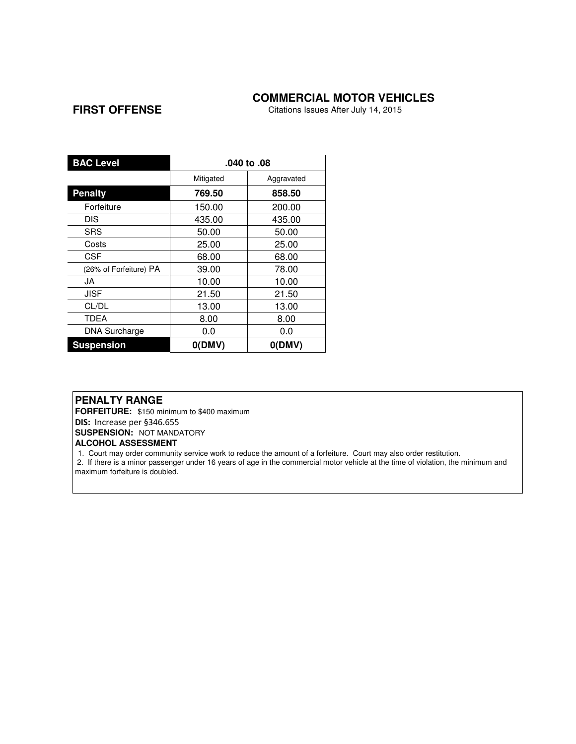#### **COMMERCIAL MOTOR VEHICLES**

### **FIRST OFFENSE**

Citations Issues After July 14, 2015

| <b>BAC Level</b>       | .040 to .08 |            |  |
|------------------------|-------------|------------|--|
|                        | Mitigated   | Aggravated |  |
| <b>Penalty</b>         | 769.50      | 858.50     |  |
| Forfeiture             | 150.00      | 200.00     |  |
| <b>DIS</b>             | 435.00      | 435.00     |  |
| SRS                    | 50.00       | 50.00      |  |
| Costs                  | 25.00       | 25.00      |  |
| CSF                    | 68.00       | 68.00      |  |
| (26% of Forfeiture) PA | 39.00       | 78.00      |  |
| JA                     | 10.00       | 10.00      |  |
| JISF                   | 21.50       | 21.50      |  |
| CL/DL                  | 13.00       | 13.00      |  |
| TDEA                   | 8.00        | 8.00       |  |
| <b>DNA Surcharge</b>   | 0.0         | 0.0        |  |
| <b>Suspension</b>      | O(DMV)      | O(DMV)     |  |

#### **PENALTY RANGE**

**FORFEITURE:** \$150 minimum to \$400 maximum

DIS: Increase per §346.655

**SUSPENSION: NOT MANDATORY** 

#### **ALCOHOL ASSESSMENT**

1. Court may order community service work to reduce the amount of a forfeiture. Court may also order restitution.

 2. If there is a minor passenger under 16 years of age in the commercial motor vehicle at the time of violation, the minimum and maximum forfeiture is doubled.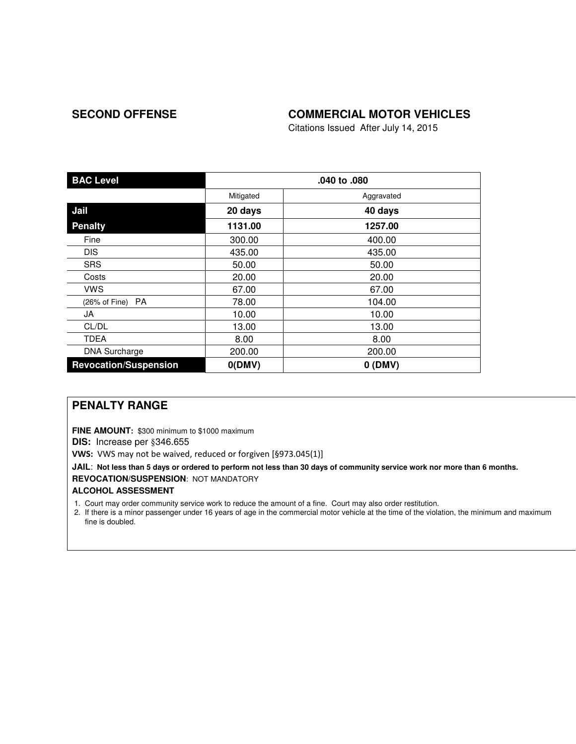## SECOND OFFENSE **COMMERCIAL MOTOR VEHICLES**

Citations Issued After July 14, 2015

| <b>BAC Level</b>             | .040 to .080 |            |
|------------------------------|--------------|------------|
|                              | Mitigated    | Aggravated |
| Jail                         | 20 days      | 40 days    |
| <b>Penalty</b>               | 1131.00      | 1257.00    |
| Fine                         | 300.00       | 400.00     |
| <b>DIS</b>                   | 435.00       | 435.00     |
| <b>SRS</b>                   | 50.00        | 50.00      |
| Costs                        | 20.00        | 20.00      |
| vws                          | 67.00        | 67.00      |
| (26% of Fine) PA             | 78.00        | 104.00     |
| JA                           | 10.00        | 10.00      |
| CL/DL                        | 13.00        | 13.00      |
| <b>TDEA</b>                  | 8.00         | 8.00       |
| <b>DNA Surcharge</b>         | 200.00       | 200.00     |
| <b>Revocation/Suspension</b> | O(DMV)       | $0$ (DMV)  |

## **PENALTY RANGE**

**FINE AMOUNT:** \$300 minimum to \$1000 maximum

**DIS:** Increase per §346.655

VWS: VWS may not be waived, reduced or forgiven [§973.045(1)]

**JAIL**: **Not less than 5 days or ordered to perform not less than 30 days of community service work nor more than 6 months. REVOCATION/SUSPENSION**: NOT MANDATORY

#### **ALCOHOL ASSESSMENT**

1. Court may order community service work to reduce the amount of a fine. Court may also order restitution.

2. If there is a minor passenger under 16 years of age in the commercial motor vehicle at the time of the violation, the minimum and maximum fine is doubled.